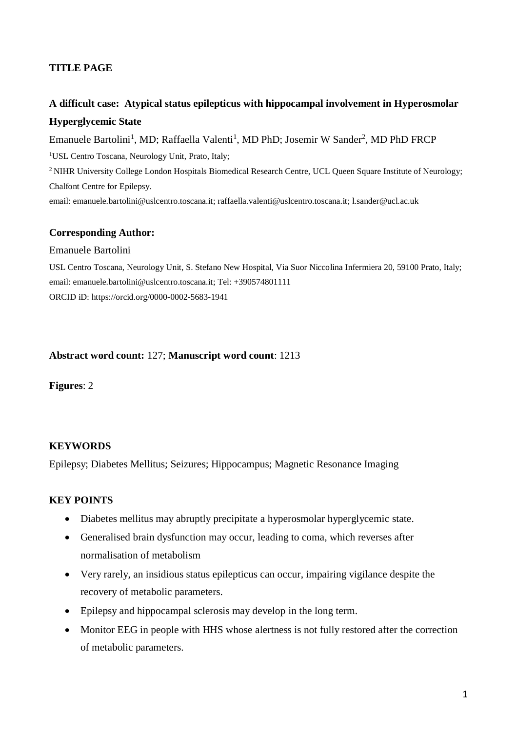## **TITLE PAGE**

# **A difficult case: Atypical status epilepticus with hippocampal involvement in Hyperosmolar Hyperglycemic State**

Emanuele Bartolini<sup>1</sup>, MD; Raffaella Valenti<sup>1</sup>, MD PhD; Josemir W Sander<sup>2</sup>, MD PhD FRCP <sup>1</sup>USL Centro Toscana, Neurology Unit, Prato, Italy; <sup>2</sup>NIHR University College London Hospitals Biomedical Research Centre, UCL Queen Square Institute of Neurology; Chalfont Centre for Epilepsy. email: [emanuele.bartolini@uslcentro.toscana.it;](mailto:emanuele.bartolini@uslcentro.toscana.it) [raffaella.valenti@uslcentro.toscana.it;](mailto:raffaella.valenti@uslcentro.toscana.it) l.sander@ucl.ac.uk

#### **Corresponding Author:**

#### Emanuele Bartolini

USL Centro Toscana, Neurology Unit, S. Stefano New Hospital, Via Suor Niccolina Infermiera 20, 59100 Prato, Italy; email: [emanuele.bartolini@uslcentro.toscana.it;](mailto:emanuele.bartolini@uslcentro.toscana.it) Tel: +390574801111 ORCID iD: https://orcid.org/0000-0002-5683-1941

#### **Abstract word count:** 127; **Manuscript word count**: 1213

**Figures**: 2

#### **KEYWORDS**

Epilepsy; Diabetes Mellitus; Seizures; Hippocampus; Magnetic Resonance Imaging

### **KEY POINTS**

- Diabetes mellitus may abruptly precipitate a hyperosmolar hyperglycemic state.
- Generalised brain dysfunction may occur, leading to coma, which reverses after normalisation of metabolism
- Very rarely, an insidious status epilepticus can occur, impairing vigilance despite the recovery of metabolic parameters.
- Epilepsy and hippocampal sclerosis may develop in the long term.
- Monitor EEG in people with HHS whose alertness is not fully restored after the correction of metabolic parameters.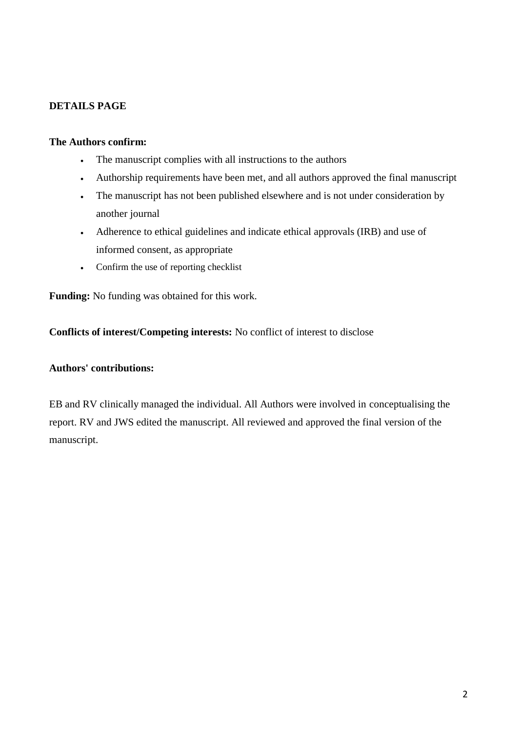## **DETAILS PAGE**

### **The Authors confirm:**

- The manuscript complies with all instructions to the authors
- Authorship requirements have been met, and all authors approved the final manuscript
- The manuscript has not been published elsewhere and is not under consideration by another journal
- Adherence to ethical guidelines and indicate ethical approvals (IRB) and use of informed consent, as appropriate
- Confirm the use of reporting checklist

**Funding:** No funding was obtained for this work.

**Conflicts of interest/Competing interests:** No conflict of interest to disclose

### **Authors' contributions:**

EB and RV clinically managed the individual. All Authors were involved in conceptualising the report. RV and JWS edited the manuscript. All reviewed and approved the final version of the manuscript.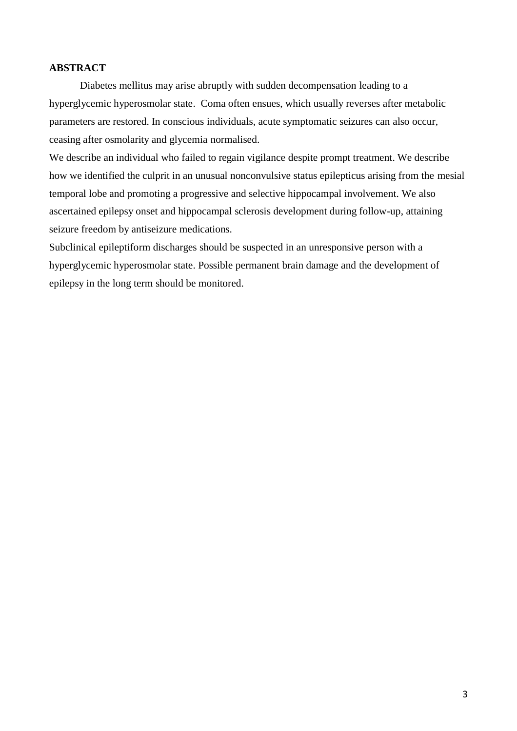### **ABSTRACT**

Diabetes mellitus may arise abruptly with sudden decompensation leading to a hyperglycemic hyperosmolar state. Coma often ensues, which usually reverses after metabolic parameters are restored. In conscious individuals, acute symptomatic seizures can also occur, ceasing after osmolarity and glycemia normalised.

We describe an individual who failed to regain vigilance despite prompt treatment. We describe how we identified the culprit in an unusual nonconvulsive status epilepticus arising from the mesial temporal lobe and promoting a progressive and selective hippocampal involvement. We also ascertained epilepsy onset and hippocampal sclerosis development during follow-up, attaining seizure freedom by antiseizure medications.

Subclinical epileptiform discharges should be suspected in an unresponsive person with a hyperglycemic hyperosmolar state. Possible permanent brain damage and the development of epilepsy in the long term should be monitored.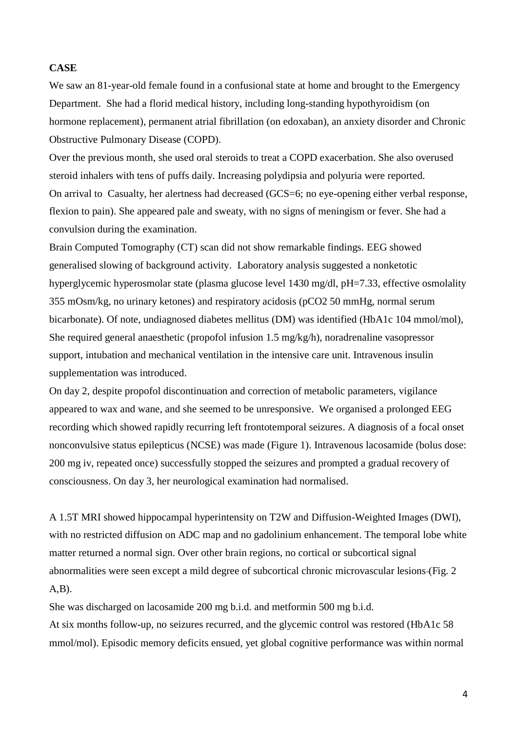#### **CASE**

We saw an 81-year-old female found in a confusional state at home and brought to the Emergency Department. She had a florid medical history, including long-standing hypothyroidism (on hormone replacement), permanent atrial fibrillation (on edoxaban), an anxiety disorder and Chronic Obstructive Pulmonary Disease (COPD).

Over the previous month, she used oral steroids to treat a COPD exacerbation. She also overused steroid inhalers with tens of puffs daily. Increasing polydipsia and polyuria were reported. On arrival to Casualty, her alertness had decreased (GCS=6; no eye-opening either verbal response, flexion to pain). She appeared pale and sweaty, with no signs of meningism or fever. She had a convulsion during the examination.

Brain Computed Tomography (CT) scan did not show remarkable findings. EEG showed generalised slowing of background activity. Laboratory analysis suggested a nonketotic hyperglycemic hyperosmolar state (plasma glucose level 1430 mg/dl, pH=7.33, effective osmolality 355 mOsm/kg, no urinary ketones) and respiratory acidosis (pCO2 50 mmHg, normal serum bicarbonate). Of note, undiagnosed diabetes mellitus (DM) was identified (HbA1c 104 mmol/mol), She required general anaesthetic (propofol infusion 1.5 mg/kg/h), noradrenaline vasopressor support, intubation and mechanical ventilation in the intensive care unit. Intravenous insulin supplementation was introduced.

On day 2, despite propofol discontinuation and correction of metabolic parameters, vigilance appeared to wax and wane, and she seemed to be unresponsive. We organised a prolonged EEG recording which showed rapidly recurring left frontotemporal seizures. A diagnosis of a focal onset nonconvulsive status epilepticus (NCSE) was made (Figure 1). Intravenous lacosamide (bolus dose: 200 mg iv, repeated once) successfully stopped the seizures and prompted a gradual recovery of consciousness. On day 3, her neurological examination had normalised.

A 1.5T MRI showed hippocampal hyperintensity on T2W and Diffusion-Weighted Images (DWI), with no restricted diffusion on ADC map and no gadolinium enhancement. The temporal lobe white matter returned a normal sign. Over other brain regions, no cortical or subcortical signal abnormalities were seen except a mild degree of subcortical chronic microvascular lesions (Fig. 2  $(A,B)$ .

She was discharged on lacosamide 200 mg b.i.d. and metformin 500 mg b.i.d. At six months follow-up, no seizures recurred, and the glycemic control was restored (HbA1c 58 mmol/mol). Episodic memory deficits ensued, yet global cognitive performance was within normal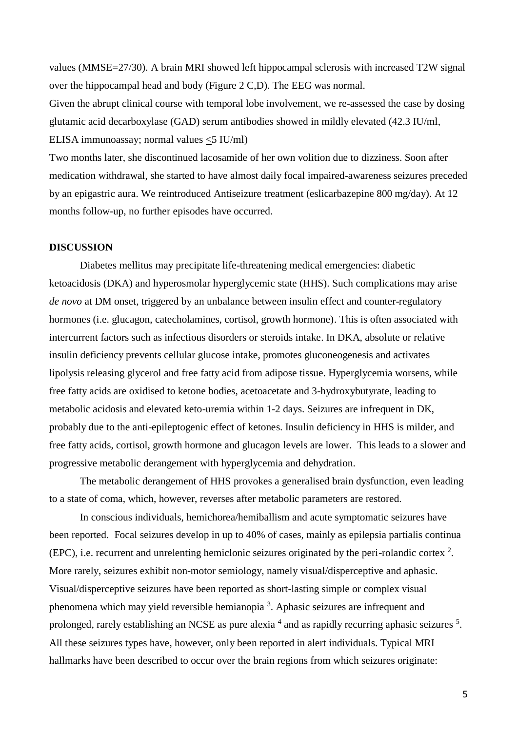values (MMSE=27/30). A brain MRI showed left hippocampal sclerosis with increased T2W signal over the hippocampal head and body (Figure 2 C,D). The EEG was normal.

Given the abrupt clinical course with temporal lobe involvement, we re-assessed the case by dosing glutamic acid decarboxylase (GAD) serum antibodies showed in mildly elevated (42.3 IU/ml, ELISA immunoassay; normal values <5 IU/ml)

Two months later, she discontinued lacosamide of her own volition due to dizziness. Soon after medication withdrawal, she started to have almost daily focal impaired-awareness seizures preceded by an epigastric aura. We reintroduced Antiseizure treatment (eslicarbazepine 800 mg/day). At 12 months follow-up, no further episodes have occurred.

#### **DISCUSSION**

Diabetes mellitus may precipitate life-threatening medical emergencies: diabetic ketoacidosis (DKA) and hyperosmolar hyperglycemic state (HHS). Such complications may arise *de novo* at DM onset, triggered by an unbalance between insulin effect and counter-regulatory hormones (i.e. glucagon, catecholamines, cortisol, growth hormone). This is often associated with intercurrent factors such as infectious disorders or steroids intake. In DKA, absolute or relative insulin deficiency prevents cellular glucose intake, promotes gluconeogenesis and activates lipolysis releasing glycerol and free fatty acid from adipose tissue. Hyperglycemia worsens, while free fatty acids are oxidised to ketone bodies, acetoacetate and 3-hydroxybutyrate, leading to metabolic acidosis and elevated keto-uremia within 1-2 days. Seizures are infrequent in DK, probably due to the anti-epileptogenic effect of ketones. Insulin deficiency in HHS is milder, and free fatty acids, cortisol, growth hormone and glucagon levels are lower. This leads to a slower and progressive metabolic derangement with hyperglycemia and dehydration.

The metabolic derangement of HHS provokes a generalised brain dysfunction, even leading to a state of coma, which, however, reverses after metabolic parameters are restored.

In conscious individuals, hemichorea/hemiballism and acute symptomatic seizures have been reported. Focal seizures develop in up to 40% of cases, mainly as epilepsia partialis continua (EPC), i.e. recurrent and unrelenting hemiclonic seizures originated by the peri-rolandic cortex  $2$ . More rarely, seizures exhibit non-motor semiology, namely visual/disperceptive and aphasic. Visual/disperceptive seizures have been reported as short-lasting simple or complex visual phenomena which may yield reversible hemianopia<sup>3</sup>. Aphasic seizures are infrequent and prolonged, rarely establishing an NCSE as pure alexia <sup>4</sup> and as rapidly recurring aphasic seizures <sup>5</sup>. All these seizures types have, however, only been reported in alert individuals. Typical MRI hallmarks have been described to occur over the brain regions from which seizures originate: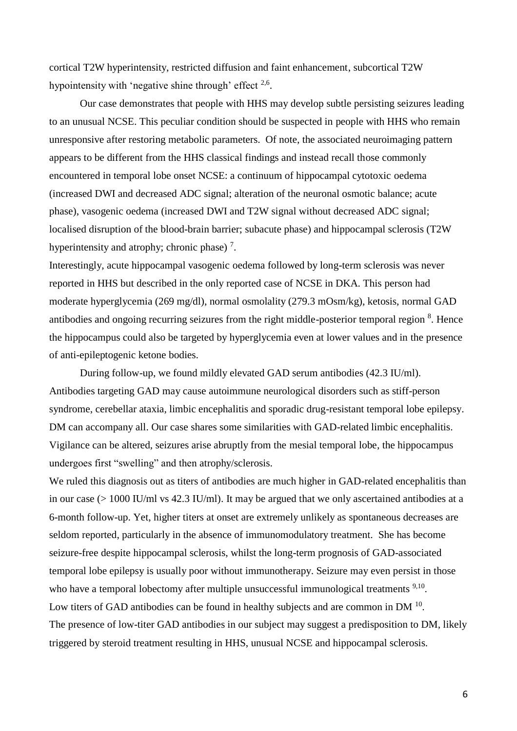cortical T2W hyperintensity, restricted diffusion and faint enhancement, subcortical T2W hypointensity with 'negative shine through' effect  $2.6$ .

Our case demonstrates that people with HHS may develop subtle persisting seizures leading to an unusual NCSE. This peculiar condition should be suspected in people with HHS who remain unresponsive after restoring metabolic parameters. Of note, the associated neuroimaging pattern appears to be different from the HHS classical findings and instead recall those commonly encountered in temporal lobe onset NCSE: a continuum of hippocampal cytotoxic oedema (increased DWI and decreased ADC signal; alteration of the neuronal osmotic balance; acute phase), vasogenic oedema (increased DWI and T2W signal without decreased ADC signal; localised disruption of the blood-brain barrier; subacute phase) and hippocampal sclerosis (T2W hyperintensity and atrophy; chronic phase)<sup>7</sup>.

Interestingly, acute hippocampal vasogenic oedema followed by long-term sclerosis was never reported in HHS but described in the only reported case of NCSE in DKA. This person had moderate hyperglycemia (269 mg/dl), normal osmolality (279.3 mOsm/kg), ketosis, normal GAD antibodies and ongoing recurring seizures from the right middle-posterior temporal region <sup>8</sup>. Hence the hippocampus could also be targeted by hyperglycemia even at lower values and in the presence of anti-epileptogenic ketone bodies.

During follow-up, we found mildly elevated GAD serum antibodies (42.3 IU/ml). Antibodies targeting GAD may cause autoimmune neurological disorders such as stiff-person syndrome, cerebellar ataxia, limbic encephalitis and sporadic drug-resistant temporal lobe epilepsy. DM can accompany all. Our case shares some similarities with GAD-related limbic encephalitis. Vigilance can be altered, seizures arise abruptly from the mesial temporal lobe, the hippocampus undergoes first "swelling" and then atrophy/sclerosis.

We ruled this diagnosis out as titers of antibodies are much higher in GAD-related encephalitis than in our case (> 1000 IU/ml vs 42.3 IU/ml). It may be argued that we only ascertained antibodies at a 6-month follow-up. Yet, higher titers at onset are extremely unlikely as spontaneous decreases are seldom reported, particularly in the absence of immunomodulatory treatment. She has become seizure-free despite hippocampal sclerosis, whilst the long-term prognosis of GAD-associated temporal lobe epilepsy is usually poor without immunotherapy. Seizure may even persist in those who have a temporal lobectomy after multiple unsuccessful immunological treatments  $9,10$ . Low titers of GAD antibodies can be found in healthy subjects and are common in DM  $^{10}$ . The presence of low-titer GAD antibodies in our subject may suggest a predisposition to DM, likely triggered by steroid treatment resulting in HHS, unusual NCSE and hippocampal sclerosis.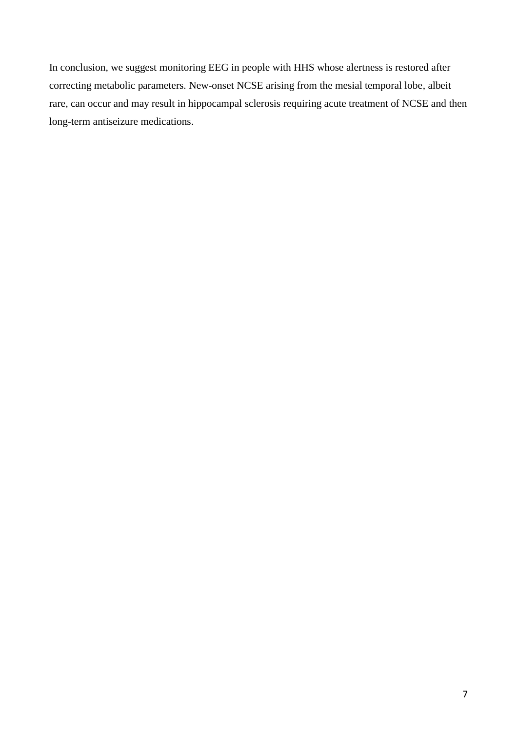In conclusion, we suggest monitoring EEG in people with HHS whose alertness is restored after correcting metabolic parameters. New-onset NCSE arising from the mesial temporal lobe, albeit rare, can occur and may result in hippocampal sclerosis requiring acute treatment of NCSE and then long-term antiseizure medications.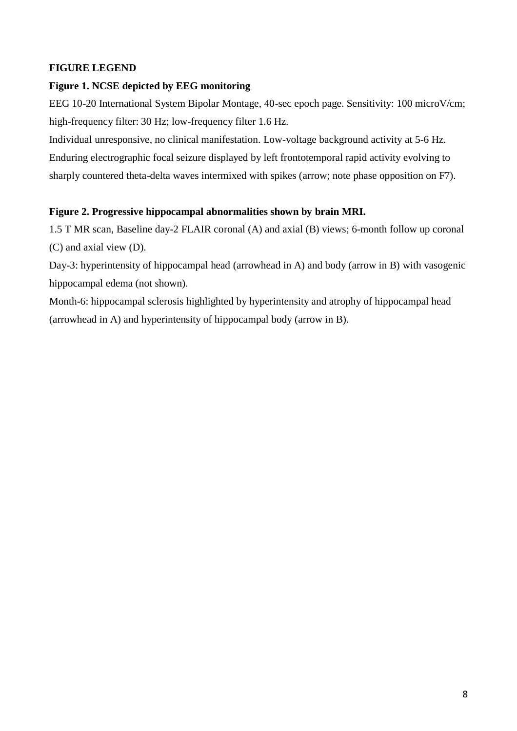## **FIGURE LEGEND**

## **Figure 1. NCSE depicted by EEG monitoring**

EEG 10-20 International System Bipolar Montage, 40-sec epoch page. Sensitivity: 100 microV/cm; high-frequency filter: 30 Hz; low-frequency filter 1.6 Hz.

Individual unresponsive, no clinical manifestation. Low-voltage background activity at 5-6 Hz. Enduring electrographic focal seizure displayed by left frontotemporal rapid activity evolving to sharply countered theta-delta waves intermixed with spikes (arrow; note phase opposition on F7).

## **Figure 2. Progressive hippocampal abnormalities shown by brain MRI.**

1.5 T MR scan, Baseline day-2 FLAIR coronal (A) and axial (B) views; 6-month follow up coronal (C) and axial view (D).

Day-3: hyperintensity of hippocampal head (arrowhead in A) and body (arrow in B) with vasogenic hippocampal edema (not shown).

Month-6: hippocampal sclerosis highlighted by hyperintensity and atrophy of hippocampal head (arrowhead in A) and hyperintensity of hippocampal body (arrow in B).